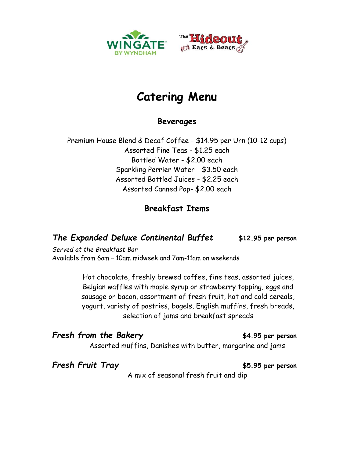



### **Catering Menu**

**Beverages**

Premium House Blend & Decaf Coffee - \$14.95 per Urn (10-12 cups) Assorted Fine Teas - \$1.25 each Bottled Water - \$2.00 each Sparkling Perrier Water - \$3.50 each Assorted Bottled Juices - \$2.25 each Assorted Canned Pop- \$2.00 each

#### **Breakfast Items**

#### *The Expanded Deluxe Continental Buffet* **\$12.95 per person**

*Served at the Breakfast Bar*  Available from 6am – 10am midweek and 7am-11am on weekends

> Hot chocolate, freshly brewed coffee, fine teas, assorted juices, Belgian waffles with maple syrup or strawberry topping, eggs and sausage or bacon, assortment of fresh fruit, hot and cold cereals, yogurt, variety of pastries, bagels, English muffins, fresh breads, selection of jams and breakfast spreads

*Fresh from the Bakery* **\$4.95 per person** Assorted muffins, Danishes with butter, margarine and jams

*Fresh Fruit Tray* **\$5.95 per person**

A mix of seasonal fresh fruit and dip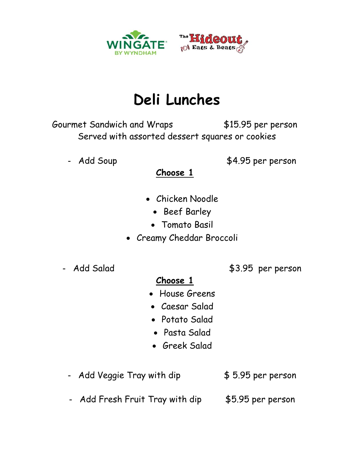

## **Deli Lunches**

Gourmet Sandwich and Wraps \$15.95 per person Served with assorted dessert squares or cookies

- Add Soup \$4.95 per person

**Choose 1**

- Chicken Noodle
	- Beef Barley
	- Tomato Basil
- Creamy Cheddar Broccoli
- 

- Add Salad \$3.95 per person

#### **Choose 1**

- House Greens
- Caesar Salad
- Potato Salad
- Pasta Salad
- Greek Salad
- Add Veggie Tray with dip  $$5.95$  per person
- Add Fresh Fruit Tray with dip \$5.95 per person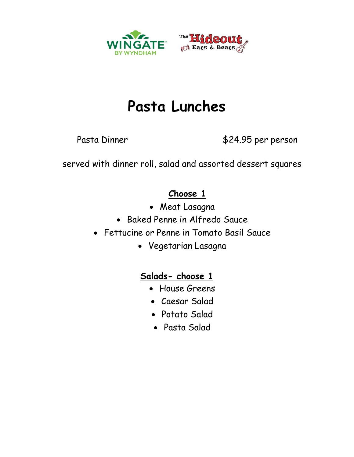

# **Pasta Lunches**

Pasta Dinner \$24.95 per person

served with dinner roll, salad and assorted dessert squares

#### **Choose 1**

- Meat Lasagna
- Baked Penne in Alfredo Sauce
- Fettucine or Penne in Tomato Basil Sauce
	- Vegetarian Lasagna

### **Salads- choose 1**

- House Greens
- Caesar Salad
- Potato Salad
- Pasta Salad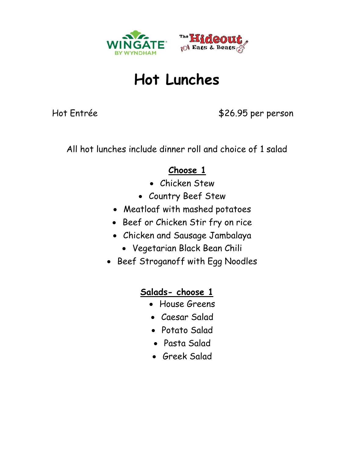

### **Hot Lunches**

Hot Entrée  $$26.95$  per person

All hot lunches include dinner roll and choice of 1 salad

#### **Choose 1**

- Chicken Stew
- Country Beef Stew
- Meatloaf with mashed potatoes
- Beef or Chicken Stir fry on rice
- Chicken and Sausage Jambalaya
	- Vegetarian Black Bean Chili
- Beef Stroganoff with Egg Noodles

#### **Salads- choose 1**

- House Greens
- Caesar Salad
- Potato Salad
- Pasta Salad
- Greek Salad